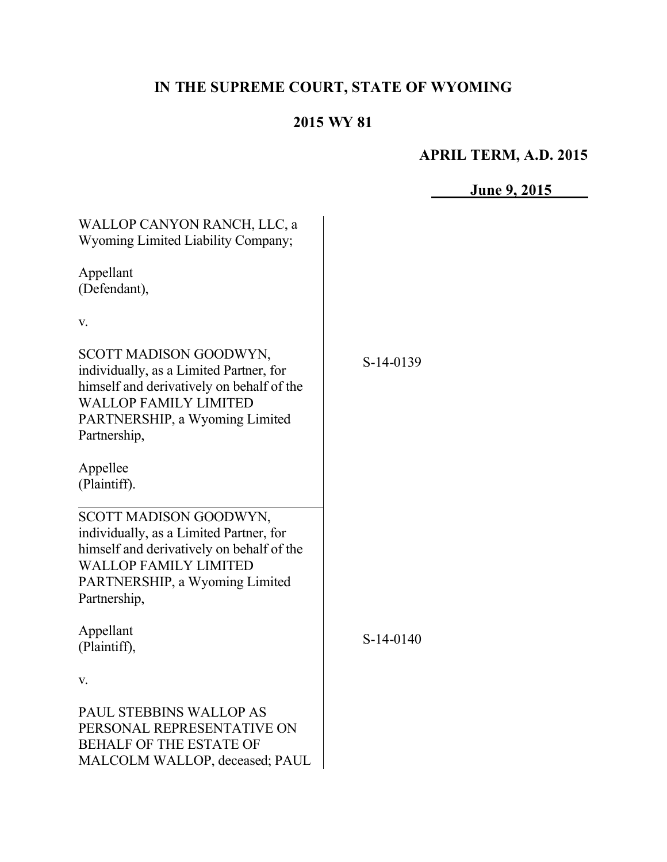# **IN THE SUPREME COURT, STATE OF WYOMING**

## **2015 WY 81**

# **APRIL TERM, A.D. 2015**

**June 9, 2015**

| WALLOP CANYON RANCH, LLC, a<br>Wyoming Limited Liability Company;                                                                                                                                |             |  |
|--------------------------------------------------------------------------------------------------------------------------------------------------------------------------------------------------|-------------|--|
| Appellant<br>(Defendant),                                                                                                                                                                        |             |  |
| V.                                                                                                                                                                                               |             |  |
| SCOTT MADISON GOODWYN,<br>individually, as a Limited Partner, for<br>himself and derivatively on behalf of the<br><b>WALLOP FAMILY LIMITED</b><br>PARTNERSHIP, a Wyoming Limited<br>Partnership, | S-14-0139   |  |
| Appellee<br>(Plaintiff).                                                                                                                                                                         |             |  |
| SCOTT MADISON GOODWYN,<br>individually, as a Limited Partner, for<br>himself and derivatively on behalf of the<br><b>WALLOP FAMILY LIMITED</b><br>PARTNERSHIP, a Wyoming Limited<br>Partnership, |             |  |
| Appellant<br>(Plaintiff),                                                                                                                                                                        | $S-14-0140$ |  |
| V.                                                                                                                                                                                               |             |  |
| PAUL STEBBINS WALLOP AS<br>PERSONAL REPRESENTATIVE ON<br><b>BEHALF OF THE ESTATE OF</b><br>MALCOLM WALLOP, deceased; PAUL                                                                        |             |  |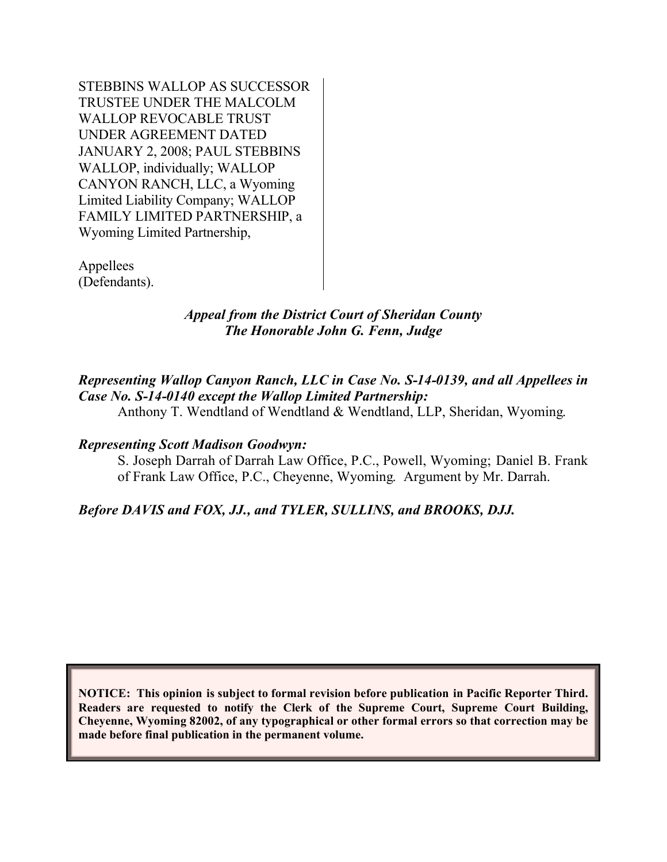STEBBINS WALLOP AS SUCCESSOR TRUSTEE UNDER THE MALCOLM WALLOP REVOCABLE TRUST UNDER AGREEMENT DATED JANUARY 2, 2008; PAUL STEBBINS WALLOP, individually; WALLOP CANYON RANCH, LLC, a Wyoming Limited Liability Company; WALLOP FAMILY LIMITED PARTNERSHIP, a Wyoming Limited Partnership,

Appellees (Defendants).

#### *Appeal from the District Court of Sheridan County The Honorable John G. Fenn, Judge*

## *Representing Wallop Canyon Ranch, LLC in Case No. S-14-0139, and all Appellees in Case No. S-14-0140 except the Wallop Limited Partnership:*

Anthony T. Wendtland of Wendtland & Wendtland, LLP, Sheridan, Wyoming.

#### *Representing Scott Madison Goodwyn:*

S. Joseph Darrah of Darrah Law Office, P.C., Powell, Wyoming; Daniel B. Frank of Frank Law Office, P.C., Cheyenne, Wyoming. Argument by Mr. Darrah.

## *Before DAVIS and FOX, JJ., and TYLER, SULLINS, and BROOKS, DJJ.*

**NOTICE: This opinion is subject to formal revision before publication in Pacific Reporter Third. Readers are requested to notify the Clerk of the Supreme Court, Supreme Court Building, Cheyenne, Wyoming 82002, of any typographical or other formal errors so that correction may be made before final publication in the permanent volume.**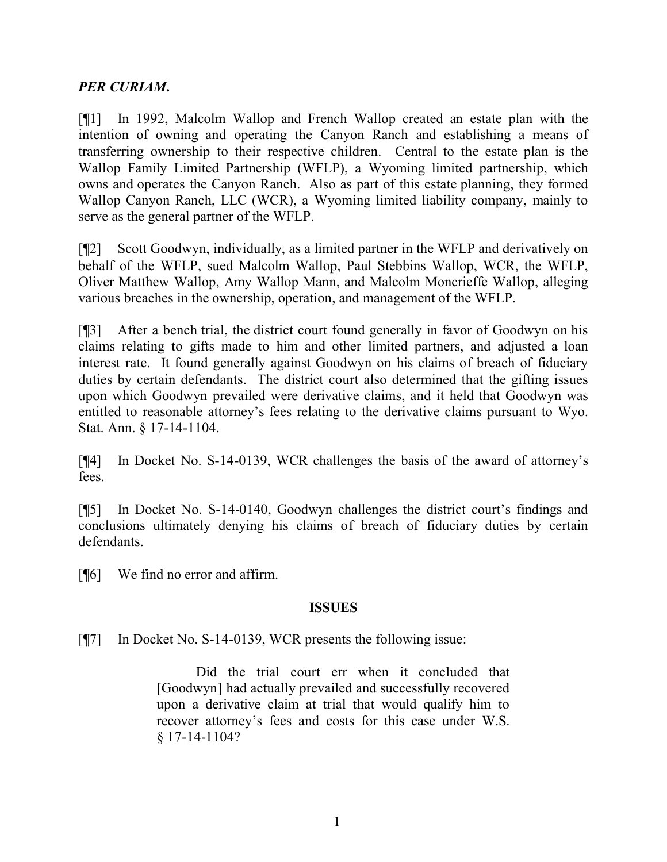## *PER CURIAM***.**

[¶1] In 1992, Malcolm Wallop and French Wallop created an estate plan with the intention of owning and operating the Canyon Ranch and establishing a means of transferring ownership to their respective children. Central to the estate plan is the Wallop Family Limited Partnership (WFLP), a Wyoming limited partnership, which owns and operates the Canyon Ranch. Also as part of this estate planning, they formed Wallop Canyon Ranch, LLC (WCR), a Wyoming limited liability company, mainly to serve as the general partner of the WFLP.

[¶2] Scott Goodwyn, individually, as a limited partner in the WFLP and derivatively on behalf of the WFLP, sued Malcolm Wallop, Paul Stebbins Wallop, WCR, the WFLP, Oliver Matthew Wallop, Amy Wallop Mann, and Malcolm Moncrieffe Wallop, alleging various breaches in the ownership, operation, and management of the WFLP.

[¶3] After a bench trial, the district court found generally in favor of Goodwyn on his claims relating to gifts made to him and other limited partners, and adjusted a loan interest rate. It found generally against Goodwyn on his claims of breach of fiduciary duties by certain defendants. The district court also determined that the gifting issues upon which Goodwyn prevailed were derivative claims, and it held that Goodwyn was entitled to reasonable attorney's fees relating to the derivative claims pursuant to Wyo. Stat. Ann. § 17-14-1104.

[¶4] In Docket No. S-14-0139, WCR challenges the basis of the award of attorney's fees.

[¶5] In Docket No. S-14-0140, Goodwyn challenges the district court's findings and conclusions ultimately denying his claims of breach of fiduciary duties by certain defendants.

[¶6] We find no error and affirm.

#### **ISSUES**

[¶7] In Docket No. S-14-0139, WCR presents the following issue:

Did the trial court err when it concluded that [Goodwyn] had actually prevailed and successfully recovered upon a derivative claim at trial that would qualify him to recover attorney's fees and costs for this case under W.S. § 17-14-1104?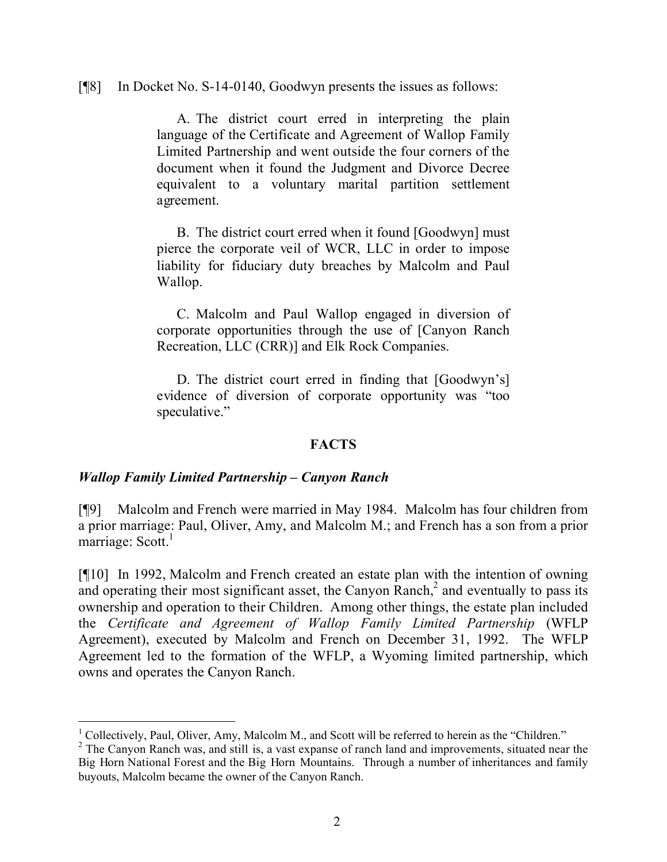[¶8] In Docket No. S-14-0140, Goodwyn presents the issues as follows:

A. The district court erred in interpreting the plain language of the Certificate and Agreement of Wallop Family Limited Partnership and went outside the four corners of the document when it found the Judgment and Divorce Decree equivalent to a voluntary marital partition settlement agreement.

B. The district court erred when it found [Goodwyn] must pierce the corporate veil of WCR, LLC in order to impose liability for fiduciary duty breaches by Malcolm and Paul Wallop.

C. Malcolm and Paul Wallop engaged in diversion of corporate opportunities through the use of [Canyon Ranch Recreation, LLC (CRR)] and Elk Rock Companies.

D. The district court erred in finding that [Goodwyn's] evidence of diversion of corporate opportunity was "too speculative."

## **FACTS**

#### *Wallop Family Limited Partnership – Canyon Ranch*

 $\overline{a}$ 

[¶9] Malcolm and French were married in May 1984. Malcolm has four children from a prior marriage: Paul, Oliver, Amy, and Malcolm M.; and French has a son from a prior marriage: Scott.<sup>1</sup>

[¶10] In 1992, Malcolm and French created an estate plan with the intention of owning and operating their most significant asset, the Canyon Ranch, $<sup>2</sup>$  and eventually to pass its</sup> ownership and operation to their Children. Among other things, the estate plan included the *Certificate and Agreement of Wallop Family Limited Partnership* (WFLP Agreement), executed by Malcolm and French on December 31, 1992. The WFLP Agreement led to the formation of the WFLP, a Wyoming limited partnership, which owns and operates the Canyon Ranch.

<sup>&</sup>lt;sup>1</sup> Collectively, Paul, Oliver, Amy, Malcolm M., and Scott will be referred to herein as the "Children."

<sup>&</sup>lt;sup>2</sup> The Canyon Ranch was, and still is, a vast expanse of ranch land and improvements, situated near the Big Horn National Forest and the Big Horn Mountains. Through a number of inheritances and family buyouts, Malcolm became the owner of the Canyon Ranch.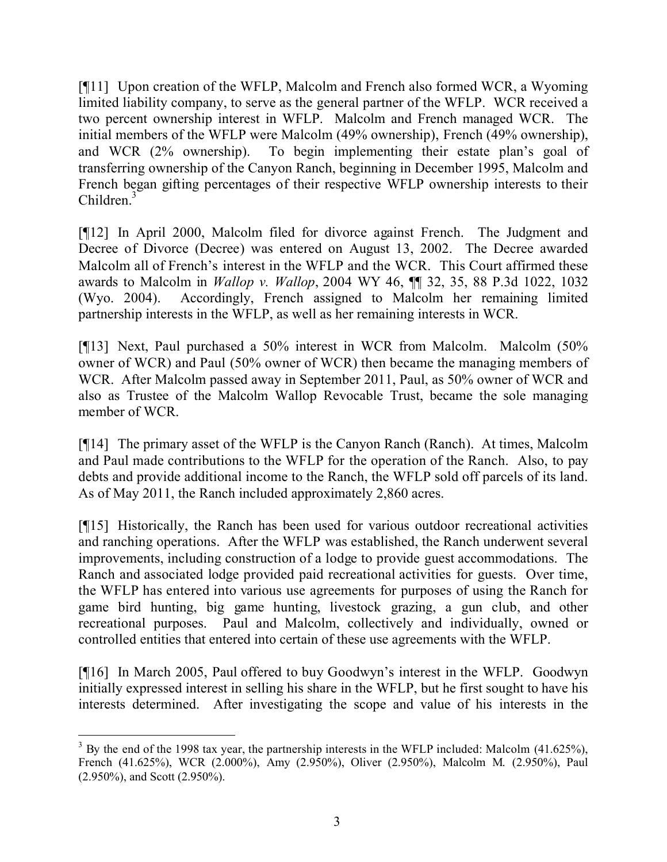[¶11] Upon creation of the WFLP, Malcolm and French also formed WCR, a Wyoming limited liability company, to serve as the general partner of the WFLP. WCR received a two percent ownership interest in WFLP. Malcolm and French managed WCR. The initial members of the WFLP were Malcolm (49% ownership), French (49% ownership), and WCR (2% ownership). To begin implementing their estate plan's goal of transferring ownership of the Canyon Ranch, beginning in December 1995, Malcolm and French began gifting percentages of their respective WFLP ownership interests to their Children.<sup>3</sup>

[¶12] In April 2000, Malcolm filed for divorce against French. The Judgment and Decree of Divorce (Decree) was entered on August 13, 2002. The Decree awarded Malcolm all of French's interest in the WFLP and the WCR. This Court affirmed these awards to Malcolm in *Wallop v. Wallop*, 2004 WY 46, ¶¶ 32, 35, 88 P.3d 1022, 1032 (Wyo. 2004). Accordingly, French assigned to Malcolm her remaining limited partnership interests in the WFLP, as well as her remaining interests in WCR.

[¶13] Next, Paul purchased a 50% interest in WCR from Malcolm. Malcolm (50% owner of WCR) and Paul (50% owner of WCR) then became the managing members of WCR. After Malcolm passed away in September 2011, Paul, as 50% owner of WCR and also as Trustee of the Malcolm Wallop Revocable Trust, became the sole managing member of WCR.

[¶14] The primary asset of the WFLP is the Canyon Ranch (Ranch). At times, Malcolm and Paul made contributions to the WFLP for the operation of the Ranch. Also, to pay debts and provide additional income to the Ranch, the WFLP sold off parcels of its land. As of May 2011, the Ranch included approximately 2,860 acres.

[¶15] Historically, the Ranch has been used for various outdoor recreational activities and ranching operations. After the WFLP was established, the Ranch underwent several improvements, including construction of a lodge to provide guest accommodations. The Ranch and associated lodge provided paid recreational activities for guests. Over time, the WFLP has entered into various use agreements for purposes of using the Ranch for game bird hunting, big game hunting, livestock grazing, a gun club, and other recreational purposes. Paul and Malcolm, collectively and individually, owned or controlled entities that entered into certain of these use agreements with the WFLP.

[¶16] In March 2005, Paul offered to buy Goodwyn's interest in the WFLP. Goodwyn initially expressed interest in selling his share in the WFLP, but he first sought to have his interests determined. After investigating the scope and value of his interests in the

 <sup>3</sup> By the end of the 1998 tax year, the partnership interests in the WFLP included: Malcolm (41.625%), French (41.625%), WCR (2.000%), Amy (2.950%), Oliver (2.950%), Malcolm M. (2.950%), Paul (2.950%), and Scott (2.950%).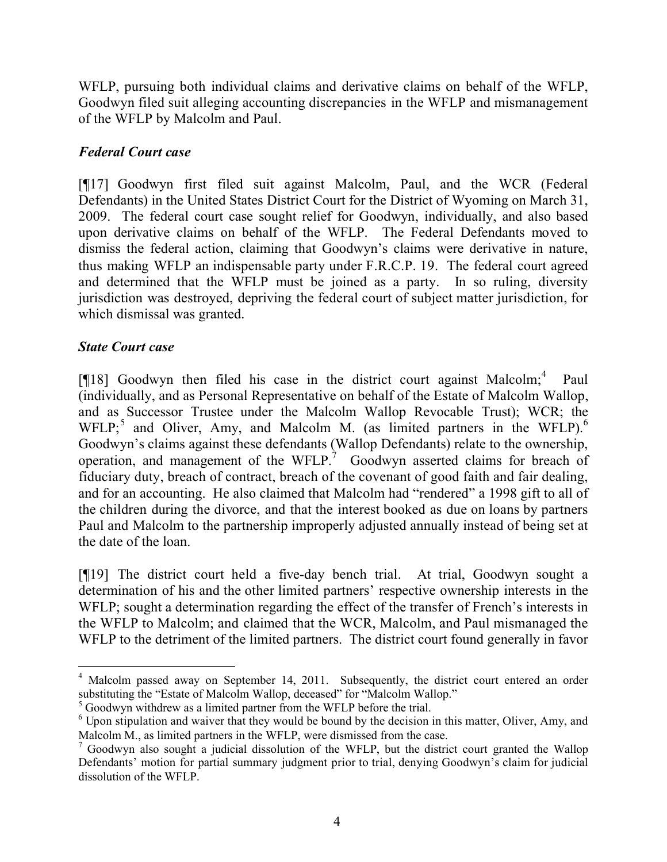WFLP, pursuing both individual claims and derivative claims on behalf of the WFLP, Goodwyn filed suit alleging accounting discrepancies in the WFLP and mismanagement of the WFLP by Malcolm and Paul.

## *Federal Court case*

[¶17] Goodwyn first filed suit against Malcolm, Paul, and the WCR (Federal Defendants) in the United States District Court for the District of Wyoming on March 31, 2009. The federal court case sought relief for Goodwyn, individually, and also based upon derivative claims on behalf of the WFLP. The Federal Defendants moved to dismiss the federal action, claiming that Goodwyn's claims were derivative in nature, thus making WFLP an indispensable party under F.R.C.P. 19. The federal court agreed and determined that the WFLP must be joined as a party. In so ruling, diversity jurisdiction was destroyed, depriving the federal court of subject matter jurisdiction, for which dismissal was granted.

## *State Court case*

[ $[18]$  Goodwyn then filed his case in the district court against Malcolm;<sup>4</sup> Paul (individually, and as Personal Representative on behalf of the Estate of Malcolm Wallop, and as Successor Trustee under the Malcolm Wallop Revocable Trust); WCR; the WFLP; and Oliver, Amy, and Malcolm M. (as limited partners in the WFLP).<sup>6</sup> Goodwyn's claims against these defendants (Wallop Defendants) relate to the ownership, operation, and management of the WFLP.<sup>7</sup> Goodwyn asserted claims for breach of fiduciary duty, breach of contract, breach of the covenant of good faith and fair dealing, and for an accounting. He also claimed that Malcolm had "rendered" a 1998 gift to all of the children during the divorce, and that the interest booked as due on loans by partners Paul and Malcolm to the partnership improperly adjusted annually instead of being set at the date of the loan.

[¶19] The district court held a five-day bench trial. At trial, Goodwyn sought a determination of his and the other limited partners' respective ownership interests in the WFLP; sought a determination regarding the effect of the transfer of French's interests in the WFLP to Malcolm; and claimed that the WCR, Malcolm, and Paul mismanaged the WFLP to the detriment of the limited partners. The district court found generally in favor

<sup>&</sup>lt;sup>4</sup> Malcolm passed away on September 14, 2011. Subsequently, the district court entered an order substituting the "Estate of Malcolm Wallop, deceased" for "Malcolm Wallop."

<sup>5</sup> Goodwyn withdrew as a limited partner from the WFLP before the trial.

 $6$  Upon stipulation and waiver that they would be bound by the decision in this matter, Oliver, Amy, and Malcolm M., as limited partners in the WFLP, were dismissed from the case.

<sup>&</sup>lt;sup>7</sup> Goodwyn also sought a judicial dissolution of the WFLP, but the district court granted the Wallop Defendants' motion for partial summary judgment prior to trial, denying Goodwyn's claim for judicial dissolution of the WFLP.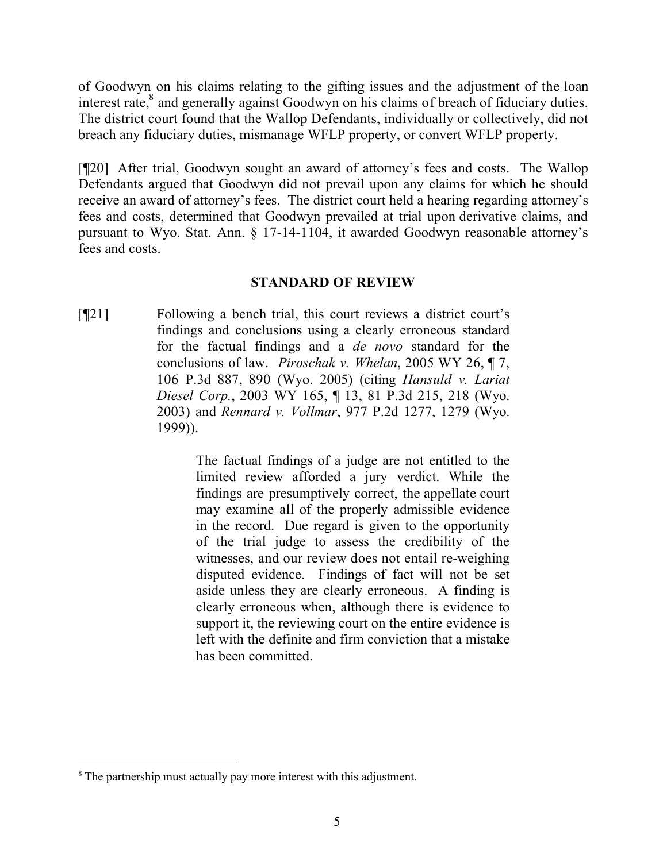of Goodwyn on his claims relating to the gifting issues and the adjustment of the loan interest rate,<sup>8</sup> and generally against Goodwyn on his claims of breach of fiduciary duties. The district court found that the Wallop Defendants, individually or collectively, did not breach any fiduciary duties, mismanage WFLP property, or convert WFLP property.

[¶20] After trial, Goodwyn sought an award of attorney's fees and costs. The Wallop Defendants argued that Goodwyn did not prevail upon any claims for which he should receive an award of attorney's fees. The district court held a hearing regarding attorney's fees and costs, determined that Goodwyn prevailed at trial upon derivative claims, and pursuant to Wyo. Stat. Ann. § 17-14-1104, it awarded Goodwyn reasonable attorney's fees and costs.

#### **STANDARD OF REVIEW**

[¶21] Following a bench trial, this court reviews a district court's findings and conclusions using a clearly erroneous standard for the factual findings and a *de novo* standard for the conclusions of law. *Piroschak v. Whelan*, 2005 WY 26, ¶ 7, 106 P.3d 887, 890 (Wyo. 2005) (citing *Hansuld v. Lariat Diesel Corp.*, 2003 WY 165, ¶ 13, 81 P.3d 215, 218 (Wyo. 2003) and *Rennard v. Vollmar*, 977 P.2d 1277, 1279 (Wyo. 1999)).

> The factual findings of a judge are not entitled to the limited review afforded a jury verdict. While the findings are presumptively correct, the appellate court may examine all of the properly admissible evidence in the record. Due regard is given to the opportunity of the trial judge to assess the credibility of the witnesses, and our review does not entail re-weighing disputed evidence. Findings of fact will not be set aside unless they are clearly erroneous. A finding is clearly erroneous when, although there is evidence to support it, the reviewing court on the entire evidence is left with the definite and firm conviction that a mistake has been committed.

 $\overline{a}$ <sup>8</sup> The partnership must actually pay more interest with this adjustment.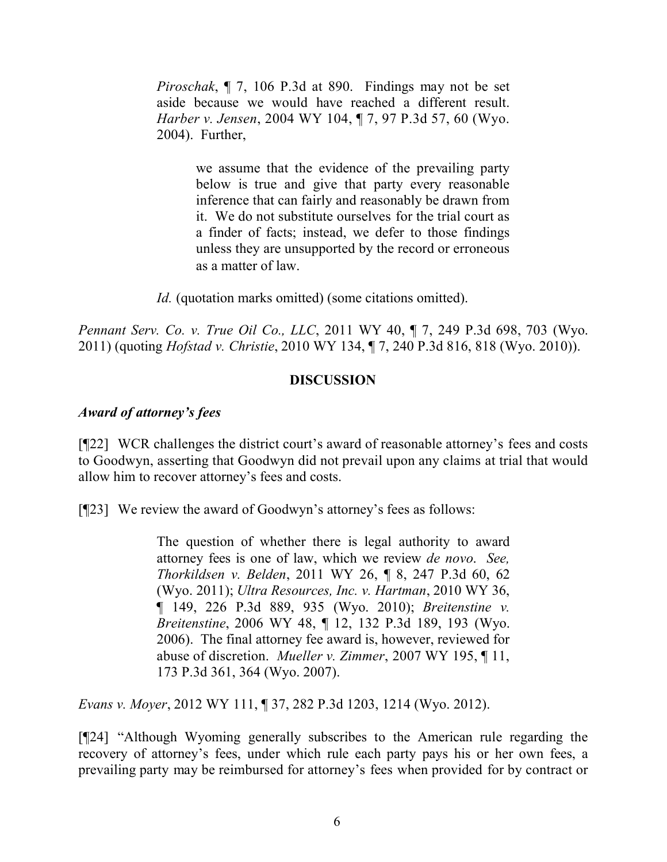*Piroschak*, ¶ 7, 106 P.3d at 890. Findings may not be set aside because we would have reached a different result. *Harber v. Jensen*, 2004 WY 104, ¶ 7, 97 P.3d 57, 60 (Wyo. 2004). Further,

> we assume that the evidence of the prevailing party below is true and give that party every reasonable inference that can fairly and reasonably be drawn from it. We do not substitute ourselves for the trial court as a finder of facts; instead, we defer to those findings unless they are unsupported by the record or erroneous as a matter of law.

*Id.* (quotation marks omitted) (some citations omitted).

*Pennant Serv. Co. v. True Oil Co., LLC*, 2011 WY 40, ¶ 7, 249 P.3d 698, 703 (Wyo. 2011) (quoting *Hofstad v. Christie*, 2010 WY 134, ¶ 7, 240 P.3d 816, 818 (Wyo. 2010)).

#### **DISCUSSION**

#### *Award of attorney's fees*

[¶22] WCR challenges the district court's award of reasonable attorney's fees and costs to Goodwyn, asserting that Goodwyn did not prevail upon any claims at trial that would allow him to recover attorney's fees and costs.

[¶23] We review the award of Goodwyn's attorney's fees as follows:

The question of whether there is legal authority to award attorney fees is one of law, which we review *de novo*. *See, Thorkildsen v. Belden*, 2011 WY 26, ¶ 8, 247 P.3d 60, 62 (Wyo. 2011); *Ultra Resources, Inc. v. Hartman*, 2010 WY 36, ¶ 149, 226 P.3d 889, 935 (Wyo. 2010); *Breitenstine v. Breitenstine*, 2006 WY 48, ¶ 12, 132 P.3d 189, 193 (Wyo. 2006). The final attorney fee award is, however, reviewed for abuse of discretion. *Mueller v. Zimmer*, 2007 WY 195, ¶ 11, 173 P.3d 361, 364 (Wyo. 2007).

*Evans v. Moyer*, 2012 WY 111, ¶ 37, 282 P.3d 1203, 1214 (Wyo. 2012).

[¶24] "Although Wyoming generally subscribes to the American rule regarding the recovery of attorney's fees, under which rule each party pays his or her own fees, a prevailing party may be reimbursed for attorney's fees when provided for by contract or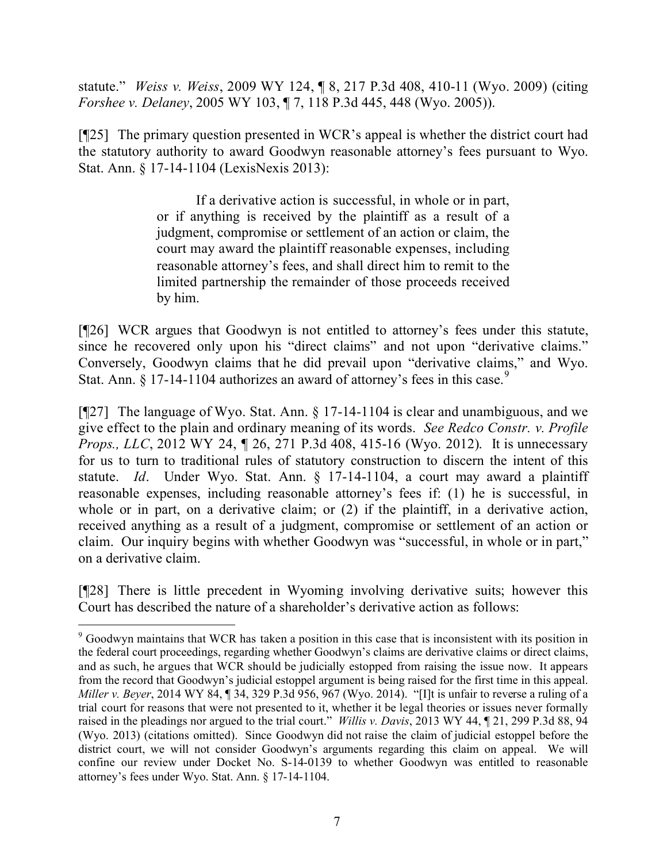statute." *Weiss v. Weiss*, 2009 WY 124, ¶ 8, 217 P.3d 408, 410-11 (Wyo. 2009) (citing *Forshee v. Delaney*, 2005 WY 103, ¶ 7, 118 P.3d 445, 448 (Wyo. 2005)).

[¶25] The primary question presented in WCR's appeal is whether the district court had the statutory authority to award Goodwyn reasonable attorney's fees pursuant to Wyo. Stat. Ann. § 17-14-1104 (LexisNexis 2013):

> If a derivative action is successful, in whole or in part, or if anything is received by the plaintiff as a result of a judgment, compromise or settlement of an action or claim, the court may award the plaintiff reasonable expenses, including reasonable attorney's fees, and shall direct him to remit to the limited partnership the remainder of those proceeds received by him.

[¶26] WCR argues that Goodwyn is not entitled to attorney's fees under this statute, since he recovered only upon his "direct claims" and not upon "derivative claims." Conversely, Goodwyn claims that he did prevail upon "derivative claims," and Wyo. Stat. Ann.  $\S 17-14-1104$  authorizes an award of attorney's fees in this case.<sup>9</sup>

[¶27] The language of Wyo. Stat. Ann. § 17-14-1104 is clear and unambiguous, and we give effect to the plain and ordinary meaning of its words. *See Redco Constr. v. Profile Props., LLC*, 2012 WY 24, 1 26, 271 P.3d 408, 415-16 (Wyo. 2012). It is unnecessary for us to turn to traditional rules of statutory construction to discern the intent of this statute. *Id*. Under Wyo. Stat. Ann. § 17-14-1104, a court may award a plaintiff reasonable expenses, including reasonable attorney's fees if: (1) he is successful, in whole or in part, on a derivative claim; or (2) if the plaintiff, in a derivative action, received anything as a result of a judgment, compromise or settlement of an action or claim. Our inquiry begins with whether Goodwyn was "successful, in whole or in part," on a derivative claim.

[¶28] There is little precedent in Wyoming involving derivative suits; however this Court has described the nature of a shareholder's derivative action as follows:

 <sup>9</sup> Goodwyn maintains that WCR has taken a position in this case that is inconsistent with its position in the federal court proceedings, regarding whether Goodwyn's claims are derivative claims or direct claims, and as such, he argues that WCR should be judicially estopped from raising the issue now. It appears from the record that Goodwyn's judicial estoppel argument is being raised for the first time in this appeal. *Miller v. Beyer*, 2014 WY 84, ¶ 34, 329 P.3d 956, 967 (Wyo. 2014). "[I]t is unfair to reverse a ruling of a trial court for reasons that were not presented to it, whether it be legal theories or issues never formally raised in the pleadings nor argued to the trial court." *Willis v. Davis*, 2013 WY 44, ¶ 21, 299 P.3d 88, 94 (Wyo. 2013) (citations omitted). Since Goodwyn did not raise the claim of judicial estoppel before the district court, we will not consider Goodwyn's arguments regarding this claim on appeal. We will confine our review under Docket No. S-14-0139 to whether Goodwyn was entitled to reasonable attorney's fees under Wyo. Stat. Ann. § 17-14-1104.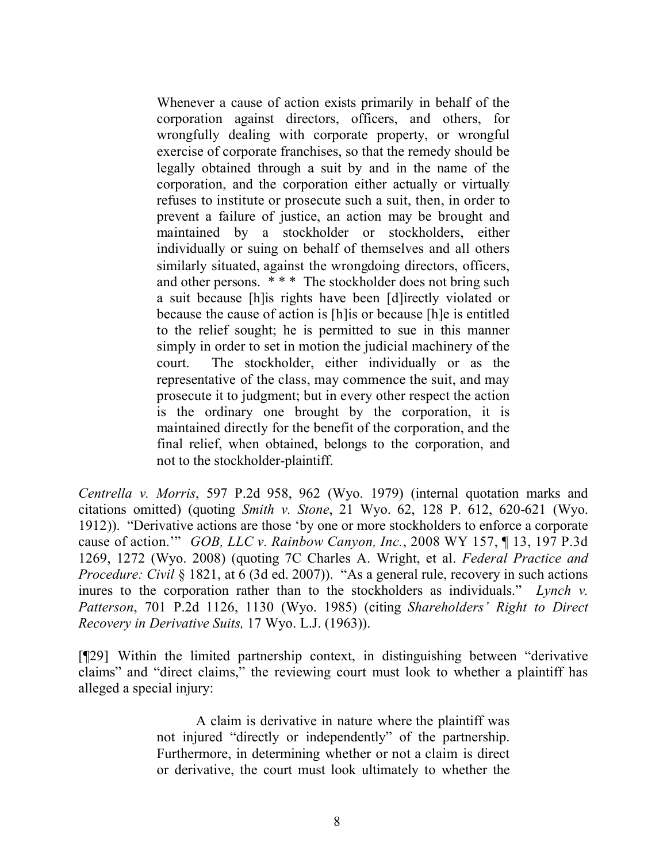Whenever a cause of action exists primarily in behalf of the corporation against directors, officers, and others, for wrongfully dealing with corporate property, or wrongful exercise of corporate franchises, so that the remedy should be legally obtained through a suit by and in the name of the corporation, and the corporation either actually or virtually refuses to institute or prosecute such a suit, then, in order to prevent a failure of justice, an action may be brought and maintained by a stockholder or stockholders, either individually or suing on behalf of themselves and all others similarly situated, against the wrongdoing directors, officers, and other persons. \* \* \* The stockholder does not bring such a suit because [h]is rights have been [d]irectly violated or because the cause of action is [h]is or because [h]e is entitled to the relief sought; he is permitted to sue in this manner simply in order to set in motion the judicial machinery of the court. The stockholder, either individually or as the representative of the class, may commence the suit, and may prosecute it to judgment; but in every other respect the action is the ordinary one brought by the corporation, it is maintained directly for the benefit of the corporation, and the final relief, when obtained, belongs to the corporation, and not to the stockholder-plaintiff.

*Centrella v. Morris*, 597 P.2d 958, 962 (Wyo. 1979) (internal quotation marks and citations omitted) (quoting *Smith v. Stone*, 21 Wyo. 62, 128 P. 612, 620-621 (Wyo. 1912)). "Derivative actions are those 'by one or more stockholders to enforce a corporate cause of action.'" *GOB, LLC v. Rainbow Canyon, Inc.*, 2008 WY 157, ¶ 13, 197 P.3d 1269, 1272 (Wyo. 2008) (quoting 7C Charles A. Wright, et al. *Federal Practice and Procedure: Civil* § 1821, at 6 (3d ed. 2007)). "As a general rule, recovery in such actions inures to the corporation rather than to the stockholders as individuals." *Lynch v. Patterson*, 701 P.2d 1126, 1130 (Wyo. 1985) (citing *Shareholders' Right to Direct Recovery in Derivative Suits,* 17 Wyo. L.J. (1963)).

[¶29] Within the limited partnership context, in distinguishing between "derivative claims" and "direct claims," the reviewing court must look to whether a plaintiff has alleged a special injury:

> A claim is derivative in nature where the plaintiff was not injured "directly or independently" of the partnership. Furthermore, in determining whether or not a claim is direct or derivative, the court must look ultimately to whether the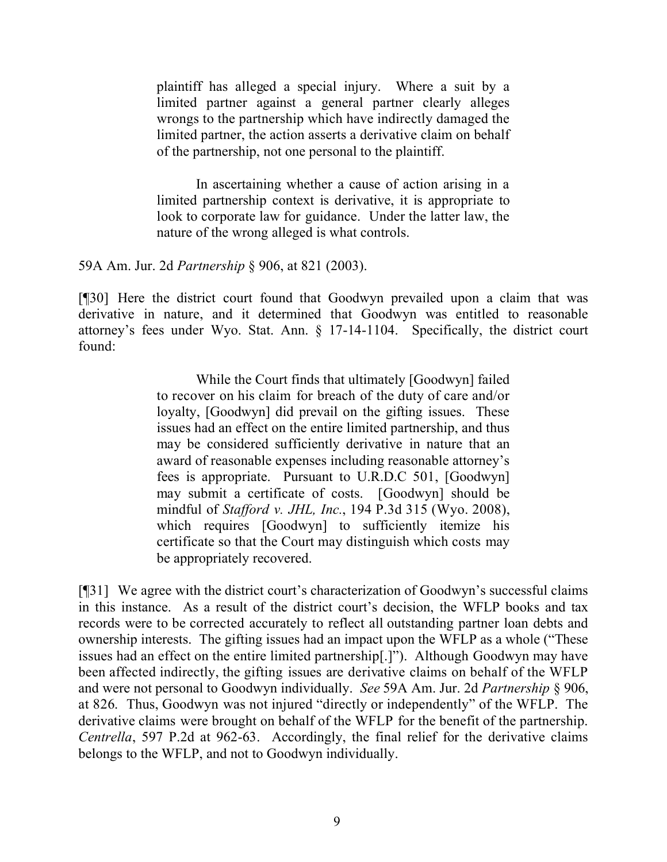plaintiff has alleged a special injury. Where a suit by a limited partner against a general partner clearly alleges wrongs to the partnership which have indirectly damaged the limited partner, the action asserts a derivative claim on behalf of the partnership, not one personal to the plaintiff.

In ascertaining whether a cause of action arising in a limited partnership context is derivative, it is appropriate to look to corporate law for guidance. Under the latter law, the nature of the wrong alleged is what controls.

#### 59A Am. Jur. 2d *Partnership* § 906, at 821 (2003).

[¶30] Here the district court found that Goodwyn prevailed upon a claim that was derivative in nature, and it determined that Goodwyn was entitled to reasonable attorney's fees under Wyo. Stat. Ann. § 17-14-1104. Specifically, the district court found:

> While the Court finds that ultimately [Goodwyn] failed to recover on his claim for breach of the duty of care and/or loyalty, [Goodwyn] did prevail on the gifting issues. These issues had an effect on the entire limited partnership, and thus may be considered sufficiently derivative in nature that an award of reasonable expenses including reasonable attorney's fees is appropriate. Pursuant to U.R.D.C 501, [Goodwyn] may submit a certificate of costs. [Goodwyn] should be mindful of *Stafford v. JHL, Inc.*, 194 P.3d 315 (Wyo. 2008), which requires [Goodwyn] to sufficiently itemize his certificate so that the Court may distinguish which costs may be appropriately recovered.

[¶31] We agree with the district court's characterization of Goodwyn's successful claims in this instance. As a result of the district court's decision, the WFLP books and tax records were to be corrected accurately to reflect all outstanding partner loan debts and ownership interests. The gifting issues had an impact upon the WFLP as a whole ("These issues had an effect on the entire limited partnership[.]"). Although Goodwyn may have been affected indirectly, the gifting issues are derivative claims on behalf of the WFLP and were not personal to Goodwyn individually. *See* 59A Am. Jur. 2d *Partnership* § 906, at 826. Thus, Goodwyn was not injured "directly or independently" of the WFLP. The derivative claims were brought on behalf of the WFLP for the benefit of the partnership. *Centrella*, 597 P.2d at 962-63. Accordingly, the final relief for the derivative claims belongs to the WFLP, and not to Goodwyn individually.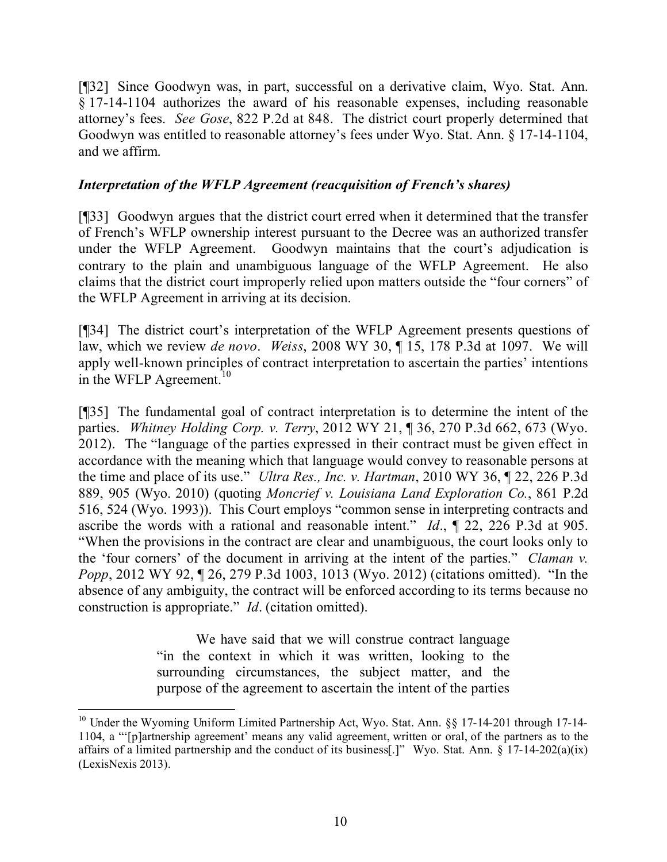[¶32] Since Goodwyn was, in part, successful on a derivative claim, Wyo. Stat. Ann. § 17-14-1104 authorizes the award of his reasonable expenses, including reasonable attorney's fees. *See Gose*, 822 P.2d at 848. The district court properly determined that Goodwyn was entitled to reasonable attorney's fees under Wyo. Stat. Ann. § 17-14-1104, and we affirm.

## *Interpretation of the WFLP Agreement (reacquisition of French's shares)*

[¶33] Goodwyn argues that the district court erred when it determined that the transfer of French's WFLP ownership interest pursuant to the Decree was an authorized transfer under the WFLP Agreement. Goodwyn maintains that the court's adjudication is contrary to the plain and unambiguous language of the WFLP Agreement. He also claims that the district court improperly relied upon matters outside the "four corners" of the WFLP Agreement in arriving at its decision.

[¶34] The district court's interpretation of the WFLP Agreement presents questions of law, which we review *de novo*. *Weiss*, 2008 WY 30, ¶ 15, 178 P.3d at 1097. We will apply well-known principles of contract interpretation to ascertain the parties' intentions in the WFLP Agreement.<sup>10</sup>

[¶35] The fundamental goal of contract interpretation is to determine the intent of the parties. *Whitney Holding Corp. v. Terry*, 2012 WY 21, ¶ 36, 270 P.3d 662, 673 (Wyo. 2012). The "language of the parties expressed in their contract must be given effect in accordance with the meaning which that language would convey to reasonable persons at the time and place of its use." *Ultra Res., Inc. v. Hartman*, 2010 WY 36, ¶ 22, 226 P.3d 889, 905 (Wyo. 2010) (quoting *Moncrief v. Louisiana Land Exploration Co.*, 861 P.2d 516, 524 (Wyo. 1993)). This Court employs "common sense in interpreting contracts and ascribe the words with a rational and reasonable intent." *Id*., ¶ 22, 226 P.3d at 905. "When the provisions in the contract are clear and unambiguous, the court looks only to the 'four corners' of the document in arriving at the intent of the parties." *Claman v. Popp*, 2012 WY 92,  $\parallel$  26, 279 P.3d 1003, 1013 (Wyo. 2012) (citations omitted). "In the absence of any ambiguity, the contract will be enforced according to its terms because no construction is appropriate." *Id*. (citation omitted).

> We have said that we will construe contract language "in the context in which it was written, looking to the surrounding circumstances, the subject matter, and the purpose of the agreement to ascertain the intent of the parties

<sup>&</sup>lt;sup>10</sup> Under the Wyoming Uniform Limited Partnership Act, Wyo. Stat. Ann. §§ 17-14-201 through 17-14-1104, a "'[p]artnership agreement' means any valid agreement, written or oral, of the partners as to the affairs of a limited partnership and the conduct of its business[.]" Wyo. Stat. Ann. § 17-14-202(a)(ix) (LexisNexis 2013).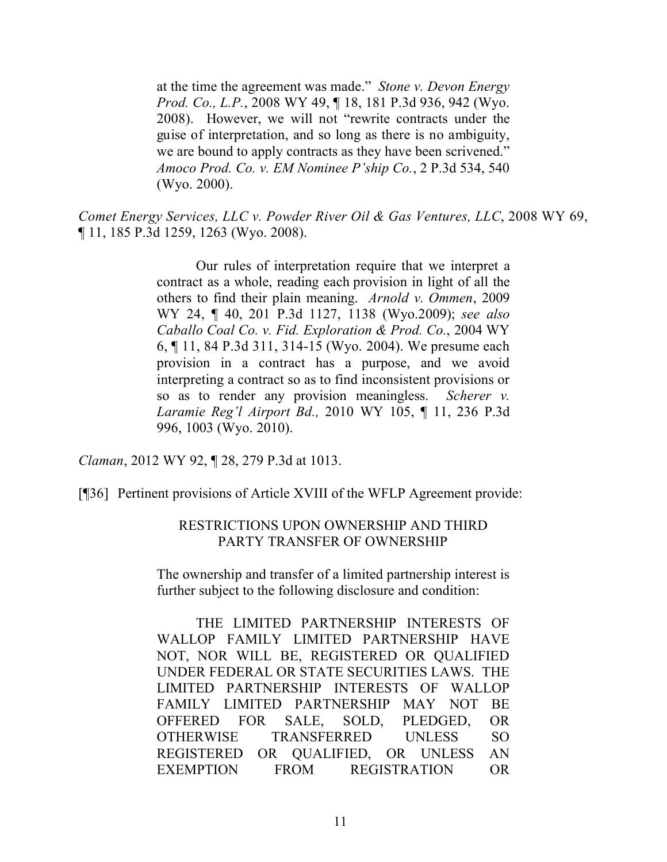at the time the agreement was made." *Stone v. Devon Energy Prod. Co., L.P.*, 2008 WY 49, ¶ 18, 181 P.3d 936, 942 (Wyo. 2008). However, we will not "rewrite contracts under the guise of interpretation, and so long as there is no ambiguity, we are bound to apply contracts as they have been scrivened." *Amoco Prod. Co. v. EM Nominee P'ship Co.*, 2 P.3d 534, 540 (Wyo. 2000).

*Comet Energy Services, LLC v. Powder River Oil & Gas Ventures, LLC*, 2008 WY 69, ¶ 11, 185 P.3d 1259, 1263 (Wyo. 2008).

> Our rules of interpretation require that we interpret a contract as a whole, reading each provision in light of all the others to find their plain meaning. *Arnold v. Ommen*, 2009 WY 24, ¶ 40, 201 P.3d 1127, 1138 (Wyo.2009); *see also Caballo Coal Co. v. Fid. Exploration & Prod. Co.*, 2004 WY 6, ¶ 11, 84 P.3d 311, 314-15 (Wyo. 2004). We presume each provision in a contract has a purpose, and we avoid interpreting a contract so as to find inconsistent provisions or so as to render any provision meaningless. *Scherer v. Laramie Reg'l Airport Bd.,* 2010 WY 105, ¶ 11, 236 P.3d 996, 1003 (Wyo. 2010).

*Claman*, 2012 WY 92, ¶ 28, 279 P.3d at 1013.

[¶36] Pertinent provisions of Article XVIII of the WFLP Agreement provide:

#### RESTRICTIONS UPON OWNERSHIP AND THIRD PARTY TRANSFER OF OWNERSHIP

The ownership and transfer of a limited partnership interest is further subject to the following disclosure and condition:

THE LIMITED PARTNERSHIP INTERESTS OF WALLOP FAMILY LIMITED PARTNERSHIP HAVE NOT, NOR WILL BE, REGISTERED OR QUALIFIED UNDER FEDERAL OR STATE SECURITIES LAWS. THE LIMITED PARTNERSHIP INTERESTS OF WALLOP FAMILY LIMITED PARTNERSHIP MAY NOT BE OFFERED FOR SALE, SOLD, PLEDGED, OR OTHERWISE TRANSFERRED UNLESS SO REGISTERED OR QUALIFIED, OR UNLESS AN EXEMPTION FROM REGISTRATION OR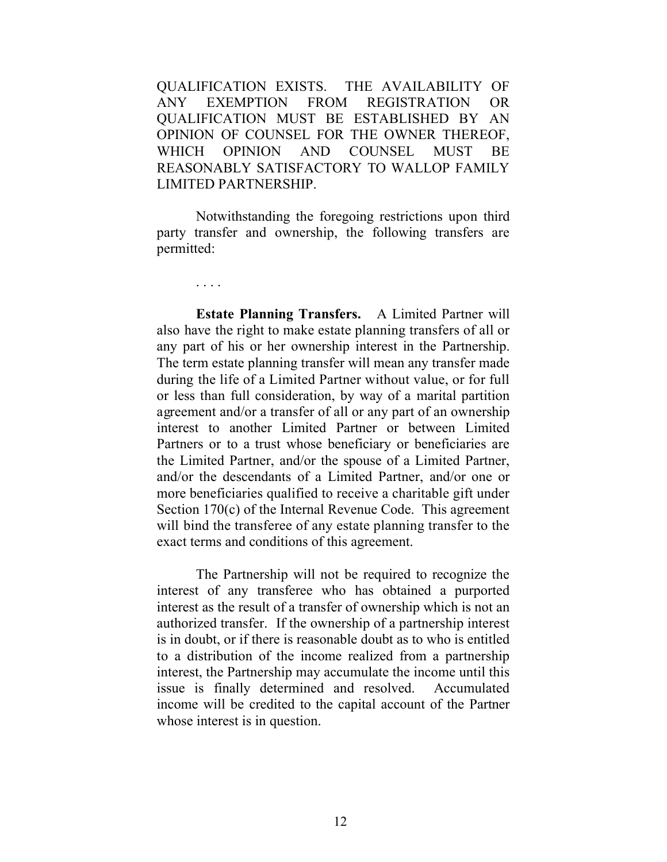QUALIFICATION EXISTS. THE AVAILABILITY OF ANY EXEMPTION FROM REGISTRATION OR QUALIFICATION MUST BE ESTABLISHED BY AN OPINION OF COUNSEL FOR THE OWNER THEREOF, WHICH OPINION AND COUNSEL MUST BE REASONABLY SATISFACTORY TO WALLOP FAMILY LIMITED PARTNERSHIP.

Notwithstanding the foregoing restrictions upon third party transfer and ownership, the following transfers are permitted:

. . . .

**Estate Planning Transfers.** A Limited Partner will also have the right to make estate planning transfers of all or any part of his or her ownership interest in the Partnership. The term estate planning transfer will mean any transfer made during the life of a Limited Partner without value, or for full or less than full consideration, by way of a marital partition agreement and/or a transfer of all or any part of an ownership interest to another Limited Partner or between Limited Partners or to a trust whose beneficiary or beneficiaries are the Limited Partner, and/or the spouse of a Limited Partner, and/or the descendants of a Limited Partner, and/or one or more beneficiaries qualified to receive a charitable gift under Section 170(c) of the Internal Revenue Code. This agreement will bind the transferee of any estate planning transfer to the exact terms and conditions of this agreement.

The Partnership will not be required to recognize the interest of any transferee who has obtained a purported interest as the result of a transfer of ownership which is not an authorized transfer. If the ownership of a partnership interest is in doubt, or if there is reasonable doubt as to who is entitled to a distribution of the income realized from a partnership interest, the Partnership may accumulate the income until this issue is finally determined and resolved. Accumulated income will be credited to the capital account of the Partner whose interest is in question.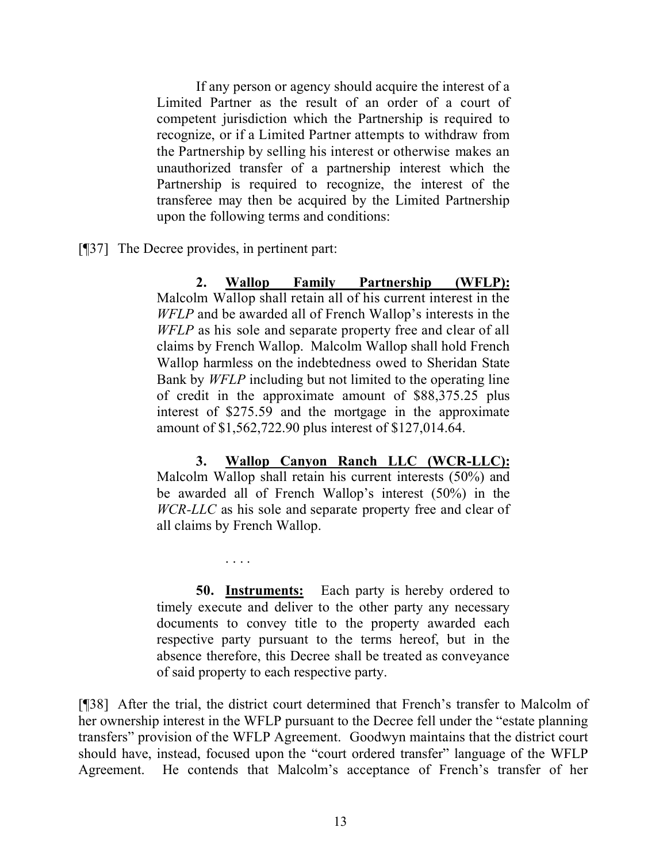If any person or agency should acquire the interest of a Limited Partner as the result of an order of a court of competent jurisdiction which the Partnership is required to recognize, or if a Limited Partner attempts to withdraw from the Partnership by selling his interest or otherwise makes an unauthorized transfer of a partnership interest which the Partnership is required to recognize, the interest of the transferee may then be acquired by the Limited Partnership upon the following terms and conditions:

[¶37] The Decree provides, in pertinent part:

. . . .

**2. Wallop Family Partnership (WFLP):**  Malcolm Wallop shall retain all of his current interest in the *WFLP* and be awarded all of French Wallop's interests in the *WFLP* as his sole and separate property free and clear of all claims by French Wallop. Malcolm Wallop shall hold French Wallop harmless on the indebtedness owed to Sheridan State Bank by *WFLP* including but not limited to the operating line of credit in the approximate amount of \$88,375.25 plus interest of \$275.59 and the mortgage in the approximate amount of \$1,562,722.90 plus interest of \$127,014.64.

**3. Wallop Canyon Ranch LLC (WCR-LLC):**  Malcolm Wallop shall retain his current interests (50%) and be awarded all of French Wallop's interest (50%) in the *WCR-LLC* as his sole and separate property free and clear of all claims by French Wallop.

**50. Instruments:** Each party is hereby ordered to timely execute and deliver to the other party any necessary documents to convey title to the property awarded each respective party pursuant to the terms hereof, but in the absence therefore, this Decree shall be treated as conveyance of said property to each respective party.

[¶38] After the trial, the district court determined that French's transfer to Malcolm of her ownership interest in the WFLP pursuant to the Decree fell under the "estate planning transfers" provision of the WFLP Agreement. Goodwyn maintains that the district court should have, instead, focused upon the "court ordered transfer" language of the WFLP Agreement. He contends that Malcolm's acceptance of French's transfer of her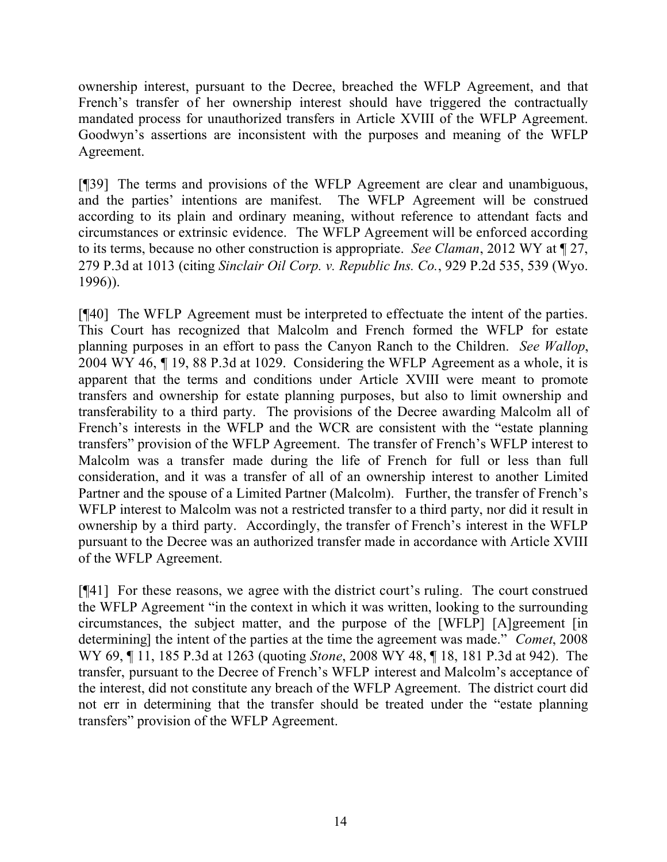ownership interest, pursuant to the Decree, breached the WFLP Agreement, and that French's transfer of her ownership interest should have triggered the contractually mandated process for unauthorized transfers in Article XVIII of the WFLP Agreement. Goodwyn's assertions are inconsistent with the purposes and meaning of the WFLP Agreement.

[¶39] The terms and provisions of the WFLP Agreement are clear and unambiguous, and the parties' intentions are manifest. The WFLP Agreement will be construed according to its plain and ordinary meaning, without reference to attendant facts and circumstances or extrinsic evidence. The WFLP Agreement will be enforced according to its terms, because no other construction is appropriate. *See Claman*, 2012 WY at ¶ 27, 279 P.3d at 1013 (citing *Sinclair Oil Corp. v. Republic Ins. Co.*, 929 P.2d 535, 539 (Wyo. 1996)).

[¶40] The WFLP Agreement must be interpreted to effectuate the intent of the parties. This Court has recognized that Malcolm and French formed the WFLP for estate planning purposes in an effort to pass the Canyon Ranch to the Children. *See Wallop*, 2004 WY 46, ¶ 19, 88 P.3d at 1029. Considering the WFLP Agreement as a whole, it is apparent that the terms and conditions under Article XVIII were meant to promote transfers and ownership for estate planning purposes, but also to limit ownership and transferability to a third party. The provisions of the Decree awarding Malcolm all of French's interests in the WFLP and the WCR are consistent with the "estate planning transfers" provision of the WFLP Agreement. The transfer of French's WFLP interest to Malcolm was a transfer made during the life of French for full or less than full consideration, and it was a transfer of all of an ownership interest to another Limited Partner and the spouse of a Limited Partner (Malcolm). Further, the transfer of French's WFLP interest to Malcolm was not a restricted transfer to a third party, nor did it result in ownership by a third party. Accordingly, the transfer of French's interest in the WFLP pursuant to the Decree was an authorized transfer made in accordance with Article XVIII of the WFLP Agreement.

[¶41] For these reasons, we agree with the district court's ruling. The court construed the WFLP Agreement "in the context in which it was written, looking to the surrounding circumstances, the subject matter, and the purpose of the [WFLP] [A]greement [in determining] the intent of the parties at the time the agreement was made." *Comet*, 2008 WY 69, ¶ 11, 185 P.3d at 1263 (quoting *Stone*, 2008 WY 48, ¶ 18, 181 P.3d at 942). The transfer, pursuant to the Decree of French's WFLP interest and Malcolm's acceptance of the interest, did not constitute any breach of the WFLP Agreement. The district court did not err in determining that the transfer should be treated under the "estate planning transfers" provision of the WFLP Agreement.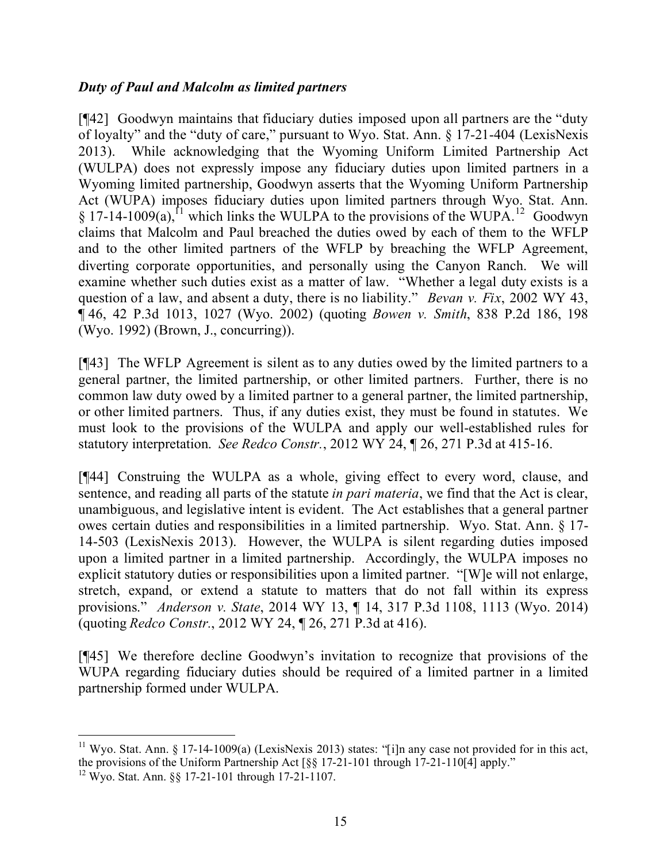## *Duty of Paul and Malcolm as limited partners*

[¶42] Goodwyn maintains that fiduciary duties imposed upon all partners are the "duty of loyalty" and the "duty of care," pursuant to Wyo. Stat. Ann. § 17-21-404 (LexisNexis 2013). While acknowledging that the Wyoming Uniform Limited Partnership Act (WULPA) does not expressly impose any fiduciary duties upon limited partners in a Wyoming limited partnership, Goodwyn asserts that the Wyoming Uniform Partnership Act (WUPA) imposes fiduciary duties upon limited partners through Wyo. Stat. Ann.  $\S 17$ -14-1009(a),<sup>11</sup> which links the WULPA to the provisions of the WUPA.<sup>12</sup> Goodwyn claims that Malcolm and Paul breached the duties owed by each of them to the WFLP and to the other limited partners of the WFLP by breaching the WFLP Agreement, diverting corporate opportunities, and personally using the Canyon Ranch. We will examine whether such duties exist as a matter of law. "Whether a legal duty exists is a question of a law, and absent a duty, there is no liability." *Bevan v. Fix*, 2002 WY 43, ¶ 46, 42 P.3d 1013, 1027 (Wyo. 2002) (quoting *Bowen v. Smith*, 838 P.2d 186, 198 (Wyo. 1992) (Brown, J., concurring)).

[¶43] The WFLP Agreement is silent as to any duties owed by the limited partners to a general partner, the limited partnership, or other limited partners. Further, there is no common law duty owed by a limited partner to a general partner, the limited partnership, or other limited partners. Thus, if any duties exist, they must be found in statutes. We must look to the provisions of the WULPA and apply our well-established rules for statutory interpretation. *See Redco Constr.*, 2012 WY 24, ¶ 26, 271 P.3d at 415-16.

[¶44] Construing the WULPA as a whole, giving effect to every word, clause, and sentence, and reading all parts of the statute *in pari materia*, we find that the Act is clear, unambiguous, and legislative intent is evident. The Act establishes that a general partner owes certain duties and responsibilities in a limited partnership. Wyo. Stat. Ann. § 17- 14-503 (LexisNexis 2013). However, the WULPA is silent regarding duties imposed upon a limited partner in a limited partnership. Accordingly, the WULPA imposes no explicit statutory duties or responsibilities upon a limited partner. "[W]e will not enlarge, stretch, expand, or extend a statute to matters that do not fall within its express provisions." *Anderson v. State*, 2014 WY 13, ¶ 14, 317 P.3d 1108, 1113 (Wyo. 2014) (quoting *Redco Constr.*, 2012 WY 24, ¶ 26, 271 P.3d at 416).

[¶45] We therefore decline Goodwyn's invitation to recognize that provisions of the WUPA regarding fiduciary duties should be required of a limited partner in a limited partnership formed under WULPA.

 <sup>11</sup> Wyo. Stat. Ann. § 17-14-1009(a) (LexisNexis 2013) states: "[i]n any case not provided for in this act, the provisions of the Uniform Partnership Act [§§ 17-21-101 through 17-21-110[4] apply."

<sup>12</sup> Wyo. Stat. Ann. §§ 17-21-101 through 17-21-1107.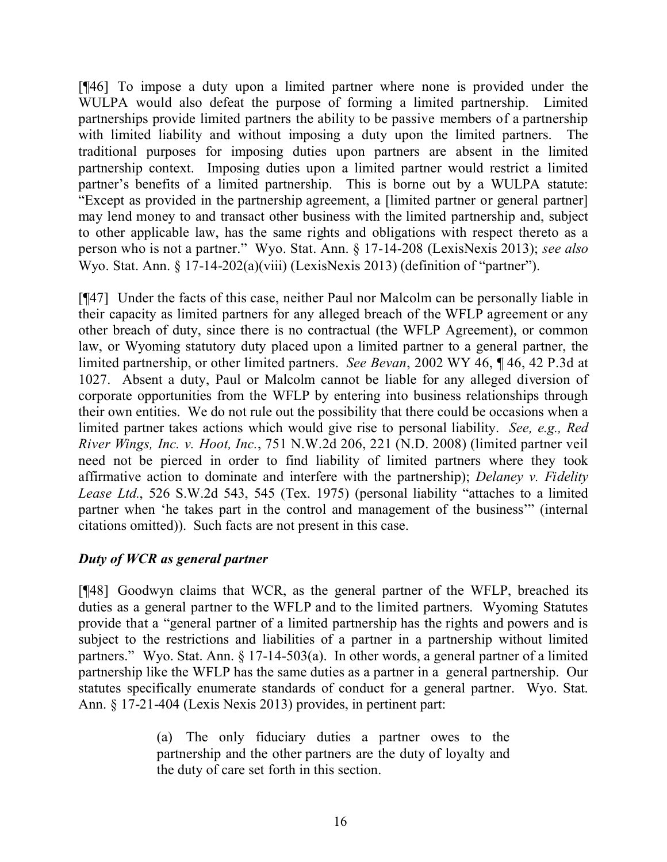[¶46] To impose a duty upon a limited partner where none is provided under the WULPA would also defeat the purpose of forming a limited partnership. Limited partnerships provide limited partners the ability to be passive members of a partnership with limited liability and without imposing a duty upon the limited partners. The traditional purposes for imposing duties upon partners are absent in the limited partnership context. Imposing duties upon a limited partner would restrict a limited partner's benefits of a limited partnership. This is borne out by a WULPA statute: "Except as provided in the partnership agreement, a [limited partner or general partner] may lend money to and transact other business with the limited partnership and, subject to other applicable law, has the same rights and obligations with respect thereto as a person who is not a partner." Wyo. Stat. Ann. § 17-14-208 (LexisNexis 2013); *see also* Wyo. Stat. Ann.  $\S 17-14-202(a)(viii)$  (LexisNexis 2013) (definition of "partner").

[¶47] Under the facts of this case, neither Paul nor Malcolm can be personally liable in their capacity as limited partners for any alleged breach of the WFLP agreement or any other breach of duty, since there is no contractual (the WFLP Agreement), or common law, or Wyoming statutory duty placed upon a limited partner to a general partner, the limited partnership, or other limited partners. *See Bevan*, 2002 WY 46, ¶ 46, 42 P.3d at 1027. Absent a duty, Paul or Malcolm cannot be liable for any alleged diversion of corporate opportunities from the WFLP by entering into business relationships through their own entities. We do not rule out the possibility that there could be occasions when a limited partner takes actions which would give rise to personal liability. *See, e.g., Red River Wings, Inc. v. Hoot, Inc.*, 751 N.W.2d 206, 221 (N.D. 2008) (limited partner veil need not be pierced in order to find liability of limited partners where they took affirmative action to dominate and interfere with the partnership); *Delaney v. Fidelity Lease Ltd.*, 526 S.W.2d 543, 545 (Tex. 1975) (personal liability "attaches to a limited partner when 'he takes part in the control and management of the business'" (internal citations omitted)). Such facts are not present in this case.

## *Duty of WCR as general partner*

[¶48] Goodwyn claims that WCR, as the general partner of the WFLP, breached its duties as a general partner to the WFLP and to the limited partners. Wyoming Statutes provide that a "general partner of a limited partnership has the rights and powers and is subject to the restrictions and liabilities of a partner in a partnership without limited partners." Wyo. Stat. Ann. § 17-14-503(a). In other words, a general partner of a limited partnership like the WFLP has the same duties as a partner in a general partnership. Our statutes specifically enumerate standards of conduct for a general partner. Wyo. Stat. Ann. § 17-21-404 (Lexis Nexis 2013) provides, in pertinent part:

> (a) The only fiduciary duties a partner owes to the partnership and the other partners are the duty of loyalty and the duty of care set forth in this section.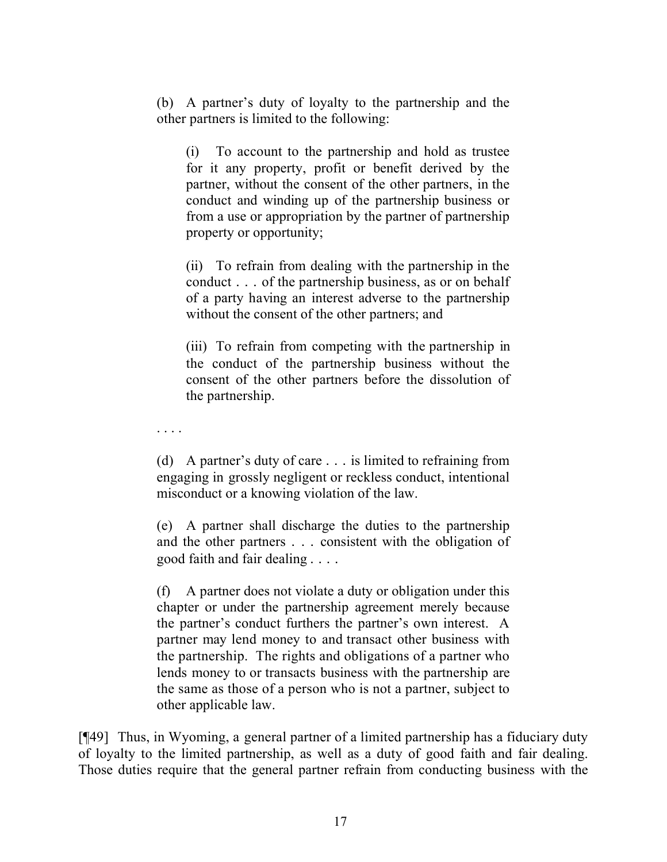(b) A partner's duty of loyalty to the partnership and the other partners is limited to the following:

(i) To account to the partnership and hold as trustee for it any property, profit or benefit derived by the partner, without the consent of the other partners, in the conduct and winding up of the partnership business or from a use or appropriation by the partner of partnership property or opportunity;

(ii) To refrain from dealing with the partnership in the conduct . . . of the partnership business, as or on behalf of a party having an interest adverse to the partnership without the consent of the other partners; and

(iii) To refrain from competing with the partnership in the conduct of the partnership business without the consent of the other partners before the dissolution of the partnership.

. . . .

(d) A partner's duty of care . . . is limited to refraining from engaging in grossly negligent or reckless conduct, intentional misconduct or a knowing violation of the law.

(e) A partner shall discharge the duties to the partnership and the other partners . . . consistent with the obligation of good faith and fair dealing . . . .

(f) A partner does not violate a duty or obligation under this chapter or under the partnership agreement merely because the partner's conduct furthers the partner's own interest. A partner may lend money to and transact other business with the partnership. The rights and obligations of a partner who lends money to or transacts business with the partnership are the same as those of a person who is not a partner, subject to other applicable law.

[¶49] Thus, in Wyoming, a general partner of a limited partnership has a fiduciary duty of loyalty to the limited partnership, as well as a duty of good faith and fair dealing. Those duties require that the general partner refrain from conducting business with the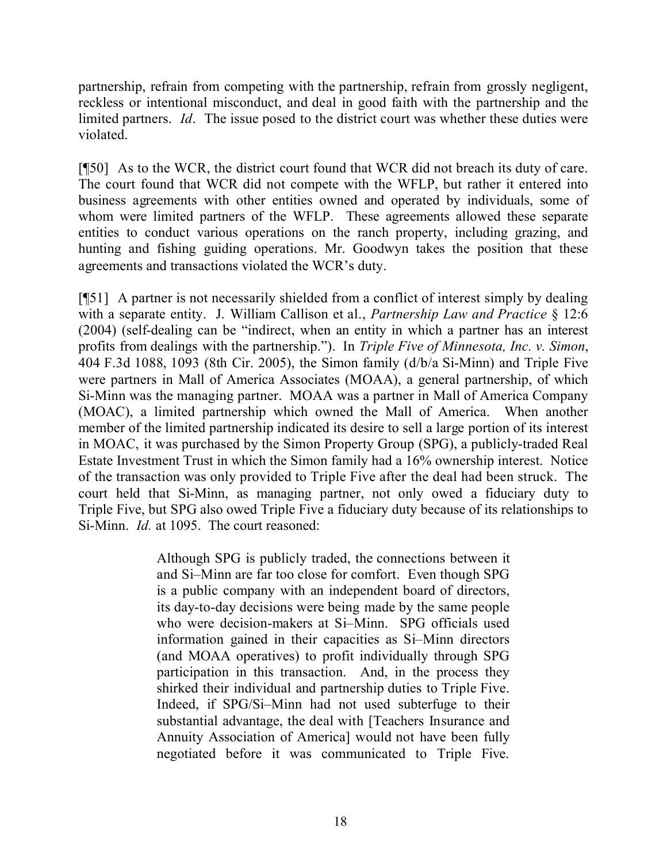partnership, refrain from competing with the partnership, refrain from grossly negligent, reckless or intentional misconduct, and deal in good faith with the partnership and the limited partners. *Id*. The issue posed to the district court was whether these duties were violated.

[¶50] As to the WCR, the district court found that WCR did not breach its duty of care. The court found that WCR did not compete with the WFLP, but rather it entered into business agreements with other entities owned and operated by individuals, some of whom were limited partners of the WFLP. These agreements allowed these separate entities to conduct various operations on the ranch property, including grazing, and hunting and fishing guiding operations. Mr. Goodwyn takes the position that these agreements and transactions violated the WCR's duty.

[¶51] A partner is not necessarily shielded from a conflict of interest simply by dealing with a separate entity. J. William Callison et al., *Partnership Law and Practice* § 12:6 (2004) (self-dealing can be "indirect, when an entity in which a partner has an interest profits from dealings with the partnership."). In *Triple Five of Minnesota, Inc. v. Simon*, 404 F.3d 1088, 1093 (8th Cir. 2005), the Simon family (d/b/a Si-Minn) and Triple Five were partners in Mall of America Associates (MOAA), a general partnership, of which Si-Minn was the managing partner. MOAA was a partner in Mall of America Company (MOAC), a limited partnership which owned the Mall of America. When another member of the limited partnership indicated its desire to sell a large portion of its interest in MOAC, it was purchased by the Simon Property Group (SPG), a publicly-traded Real Estate Investment Trust in which the Simon family had a 16% ownership interest. Notice of the transaction was only provided to Triple Five after the deal had been struck. The court held that Si-Minn, as managing partner, not only owed a fiduciary duty to Triple Five, but SPG also owed Triple Five a fiduciary duty because of its relationships to Si-Minn. *Id.* at 1095. The court reasoned:

> Although SPG is publicly traded, the connections between it and Si–Minn are far too close for comfort. Even though SPG is a public company with an independent board of directors, its day-to-day decisions were being made by the same people who were decision-makers at Si–Minn. SPG officials used information gained in their capacities as Si–Minn directors (and MOAA operatives) to profit individually through SPG participation in this transaction. And, in the process they shirked their individual and partnership duties to Triple Five. Indeed, if SPG/Si–Minn had not used subterfuge to their substantial advantage, the deal with [Teachers Insurance and Annuity Association of America] would not have been fully negotiated before it was communicated to Triple Five.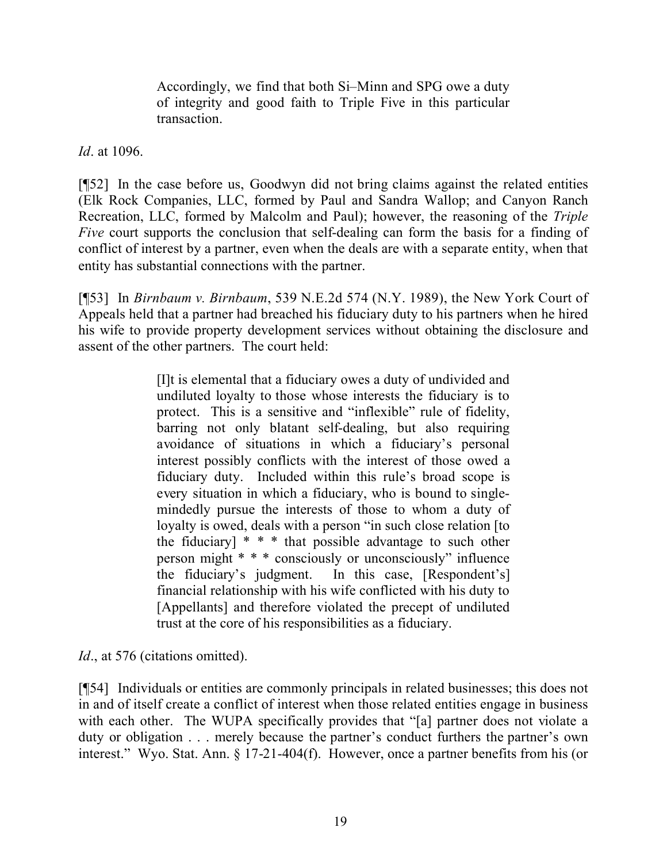Accordingly, we find that both Si–Minn and SPG owe a duty of integrity and good faith to Triple Five in this particular transaction.

*Id*. at 1096.

[¶52] In the case before us, Goodwyn did not bring claims against the related entities (Elk Rock Companies, LLC, formed by Paul and Sandra Wallop; and Canyon Ranch Recreation, LLC, formed by Malcolm and Paul); however, the reasoning of the *Triple Five* court supports the conclusion that self-dealing can form the basis for a finding of conflict of interest by a partner, even when the deals are with a separate entity, when that entity has substantial connections with the partner.

[¶53] In *Birnbaum v. Birnbaum*, 539 N.E.2d 574 (N.Y. 1989), the New York Court of Appeals held that a partner had breached his fiduciary duty to his partners when he hired his wife to provide property development services without obtaining the disclosure and assent of the other partners. The court held:

> [I]t is elemental that a fiduciary owes a duty of undivided and undiluted loyalty to those whose interests the fiduciary is to protect. This is a sensitive and "inflexible" rule of fidelity, barring not only blatant self-dealing, but also requiring avoidance of situations in which a fiduciary's personal interest possibly conflicts with the interest of those owed a fiduciary duty. Included within this rule's broad scope is every situation in which a fiduciary, who is bound to singlemindedly pursue the interests of those to whom a duty of loyalty is owed, deals with a person "in such close relation [to the fiduciary]  $* * *$  that possible advantage to such other person might \* \* \* consciously or unconsciously" influence the fiduciary's judgment. In this case, [Respondent's] financial relationship with his wife conflicted with his duty to [Appellants] and therefore violated the precept of undiluted trust at the core of his responsibilities as a fiduciary.

*Id.*, at 576 (citations omitted).

[¶54] Individuals or entities are commonly principals in related businesses; this does not in and of itself create a conflict of interest when those related entities engage in business with each other. The WUPA specifically provides that "[a] partner does not violate a duty or obligation . . . merely because the partner's conduct furthers the partner's own interest." Wyo. Stat. Ann. § 17-21-404(f). However, once a partner benefits from his (or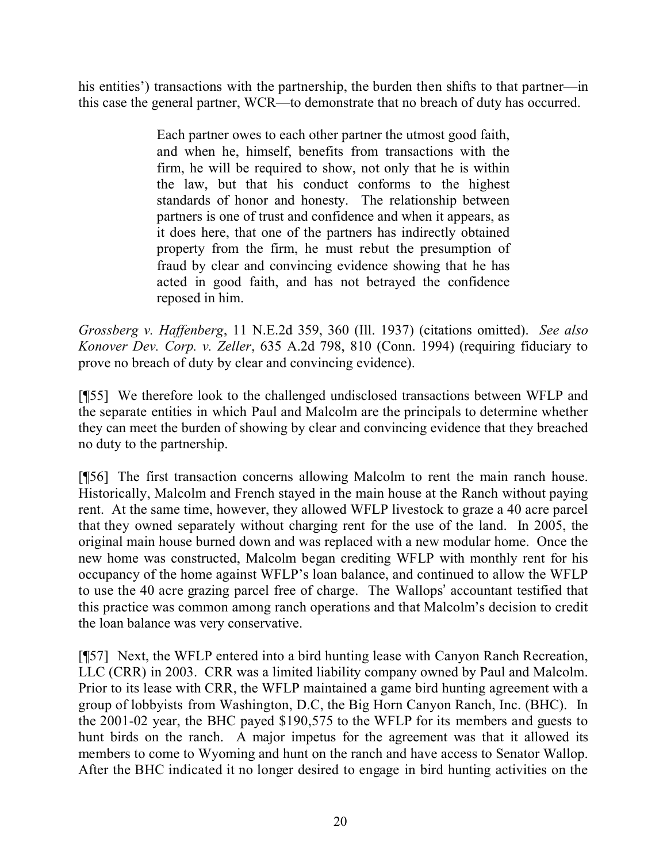his entities') transactions with the partnership, the burden then shifts to that partner—in this case the general partner, WCR—to demonstrate that no breach of duty has occurred.

> Each partner owes to each other partner the utmost good faith, and when he, himself, benefits from transactions with the firm, he will be required to show, not only that he is within the law, but that his conduct conforms to the highest standards of honor and honesty. The relationship between partners is one of trust and confidence and when it appears, as it does here, that one of the partners has indirectly obtained property from the firm, he must rebut the presumption of fraud by clear and convincing evidence showing that he has acted in good faith, and has not betrayed the confidence reposed in him.

*Grossberg v. Haffenberg*, 11 N.E.2d 359, 360 (Ill. 1937) (citations omitted). *See also Konover Dev. Corp. v. Zeller*, 635 A.2d 798, 810 (Conn. 1994) (requiring fiduciary to prove no breach of duty by clear and convincing evidence).

[¶55] We therefore look to the challenged undisclosed transactions between WFLP and the separate entities in which Paul and Malcolm are the principals to determine whether they can meet the burden of showing by clear and convincing evidence that they breached no duty to the partnership.

[¶56] The first transaction concerns allowing Malcolm to rent the main ranch house. Historically, Malcolm and French stayed in the main house at the Ranch without paying rent. At the same time, however, they allowed WFLP livestock to graze a 40 acre parcel that they owned separately without charging rent for the use of the land. In 2005, the original main house burned down and was replaced with a new modular home. Once the new home was constructed, Malcolm began crediting WFLP with monthly rent for his occupancy of the home against WFLP's loan balance, and continued to allow the WFLP to use the 40 acre grazing parcel free of charge. The Wallops' accountant testified that this practice was common among ranch operations and that Malcolm's decision to credit the loan balance was very conservative.

[¶57] Next, the WFLP entered into a bird hunting lease with Canyon Ranch Recreation, LLC (CRR) in 2003. CRR was a limited liability company owned by Paul and Malcolm. Prior to its lease with CRR, the WFLP maintained a game bird hunting agreement with a group of lobbyists from Washington, D.C, the Big Horn Canyon Ranch, Inc. (BHC). In the 2001-02 year, the BHC payed \$190,575 to the WFLP for its members and guests to hunt birds on the ranch. A major impetus for the agreement was that it allowed its members to come to Wyoming and hunt on the ranch and have access to Senator Wallop. After the BHC indicated it no longer desired to engage in bird hunting activities on the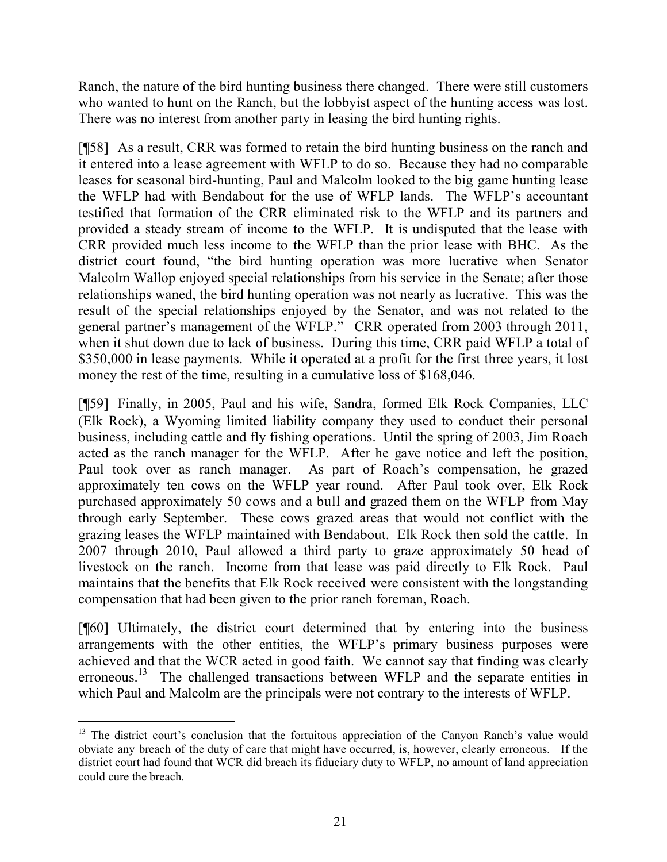Ranch, the nature of the bird hunting business there changed. There were still customers who wanted to hunt on the Ranch, but the lobbyist aspect of the hunting access was lost. There was no interest from another party in leasing the bird hunting rights.

[¶58] As a result, CRR was formed to retain the bird hunting business on the ranch and it entered into a lease agreement with WFLP to do so. Because they had no comparable leases for seasonal bird-hunting, Paul and Malcolm looked to the big game hunting lease the WFLP had with Bendabout for the use of WFLP lands. The WFLP's accountant testified that formation of the CRR eliminated risk to the WFLP and its partners and provided a steady stream of income to the WFLP. It is undisputed that the lease with CRR provided much less income to the WFLP than the prior lease with BHC. As the district court found, "the bird hunting operation was more lucrative when Senator Malcolm Wallop enjoyed special relationships from his service in the Senate; after those relationships waned, the bird hunting operation was not nearly as lucrative. This was the result of the special relationships enjoyed by the Senator, and was not related to the general partner's management of the WFLP." CRR operated from 2003 through 2011, when it shut down due to lack of business. During this time, CRR paid WFLP a total of \$350,000 in lease payments. While it operated at a profit for the first three years, it lost money the rest of the time, resulting in a cumulative loss of \$168,046.

[¶59] Finally, in 2005, Paul and his wife, Sandra, formed Elk Rock Companies, LLC (Elk Rock), a Wyoming limited liability company they used to conduct their personal business, including cattle and fly fishing operations. Until the spring of 2003, Jim Roach acted as the ranch manager for the WFLP. After he gave notice and left the position, Paul took over as ranch manager. As part of Roach's compensation, he grazed approximately ten cows on the WFLP year round. After Paul took over, Elk Rock purchased approximately 50 cows and a bull and grazed them on the WFLP from May through early September. These cows grazed areas that would not conflict with the grazing leases the WFLP maintained with Bendabout. Elk Rock then sold the cattle. In 2007 through 2010, Paul allowed a third party to graze approximately 50 head of livestock on the ranch. Income from that lease was paid directly to Elk Rock. Paul maintains that the benefits that Elk Rock received were consistent with the longstanding compensation that had been given to the prior ranch foreman, Roach.

[¶60] Ultimately, the district court determined that by entering into the business arrangements with the other entities, the WFLP's primary business purposes were achieved and that the WCR acted in good faith. We cannot say that finding was clearly erroneous.<sup>13</sup> The challenged transactions between WFLP and the separate entities in which Paul and Malcolm are the principals were not contrary to the interests of WFLP.

 $\overline{a}$ 

 $13$  The district court's conclusion that the fortuitous appreciation of the Canyon Ranch's value would obviate any breach of the duty of care that might have occurred, is, however, clearly erroneous. If the district court had found that WCR did breach its fiduciary duty to WFLP, no amount of land appreciation could cure the breach.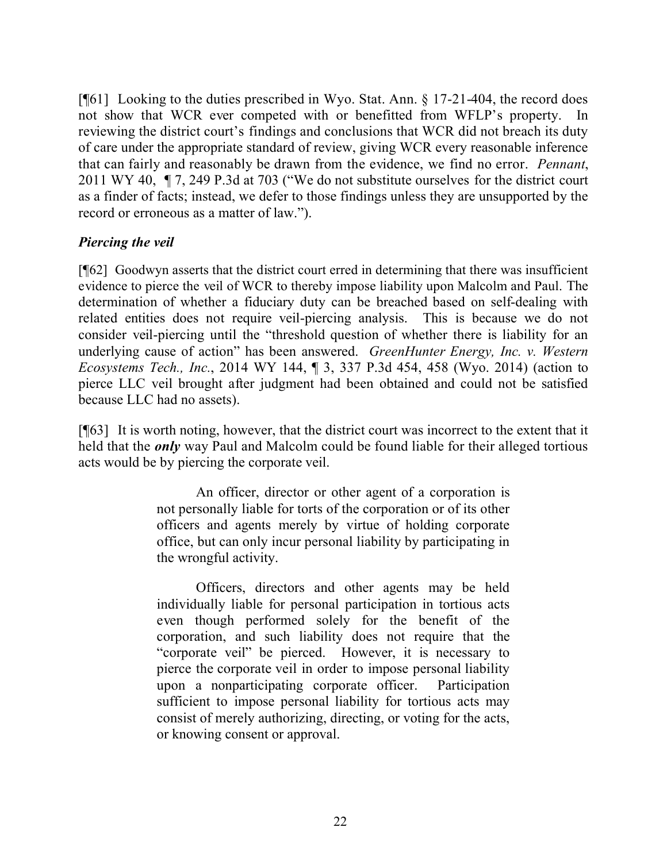[¶61] Looking to the duties prescribed in Wyo. Stat. Ann. § 17-21-404, the record does not show that WCR ever competed with or benefitted from WFLP's property. In reviewing the district court's findings and conclusions that WCR did not breach its duty of care under the appropriate standard of review, giving WCR every reasonable inference that can fairly and reasonably be drawn from the evidence, we find no error. *Pennant*, 2011 WY 40, ¶ 7, 249 P.3d at 703 ("We do not substitute ourselves for the district court as a finder of facts; instead, we defer to those findings unless they are unsupported by the record or erroneous as a matter of law.").

## *Piercing the veil*

[¶62] Goodwyn asserts that the district court erred in determining that there was insufficient evidence to pierce the veil of WCR to thereby impose liability upon Malcolm and Paul. The determination of whether a fiduciary duty can be breached based on self-dealing with related entities does not require veil-piercing analysis. This is because we do not consider veil-piercing until the "threshold question of whether there is liability for an underlying cause of action" has been answered. *GreenHunter Energy, Inc. v. Western Ecosystems Tech., Inc.*, 2014 WY 144, ¶ 3, 337 P.3d 454, 458 (Wyo. 2014) (action to pierce LLC veil brought after judgment had been obtained and could not be satisfied because LLC had no assets).

[¶63] It is worth noting, however, that the district court was incorrect to the extent that it held that the *only* way Paul and Malcolm could be found liable for their alleged tortious acts would be by piercing the corporate veil.

> An officer, director or other agent of a corporation is not personally liable for torts of the corporation or of its other officers and agents merely by virtue of holding corporate office, but can only incur personal liability by participating in the wrongful activity.

> Officers, directors and other agents may be held individually liable for personal participation in tortious acts even though performed solely for the benefit of the corporation, and such liability does not require that the "corporate veil" be pierced. However, it is necessary to pierce the corporate veil in order to impose personal liability upon a nonparticipating corporate officer. Participation sufficient to impose personal liability for tortious acts may consist of merely authorizing, directing, or voting for the acts, or knowing consent or approval.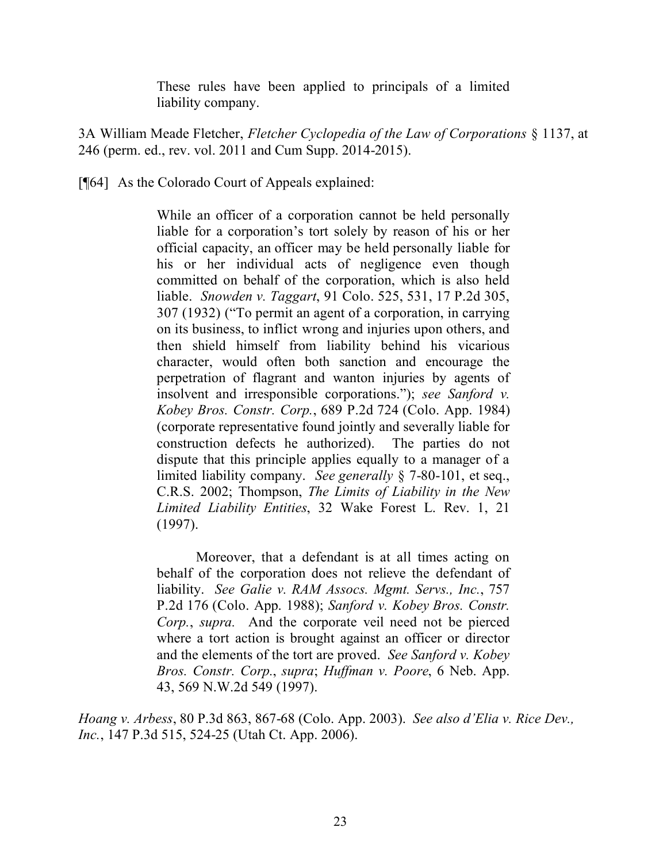These rules have been applied to principals of a limited liability company.

3A William Meade Fletcher, *Fletcher Cyclopedia of the Law of Corporations* § 1137, at 246 (perm. ed., rev. vol. 2011 and Cum Supp. 2014-2015).

[¶64] As the Colorado Court of Appeals explained:

While an officer of a corporation cannot be held personally liable for a corporation's tort solely by reason of his or her official capacity, an officer may be held personally liable for his or her individual acts of negligence even though committed on behalf of the corporation, which is also held liable. *Snowden v. Taggart*, 91 Colo. 525, 531, 17 P.2d 305, 307 (1932) ("To permit an agent of a corporation, in carrying on its business, to inflict wrong and injuries upon others, and then shield himself from liability behind his vicarious character, would often both sanction and encourage the perpetration of flagrant and wanton injuries by agents of insolvent and irresponsible corporations."); *see Sanford v. Kobey Bros. Constr. Corp.*, 689 P.2d 724 (Colo. App. 1984) (corporate representative found jointly and severally liable for construction defects he authorized). The parties do not dispute that this principle applies equally to a manager of a limited liability company. *See generally* § 7-80-101, et seq., C.R.S. 2002; Thompson, *The Limits of Liability in the New Limited Liability Entities*, 32 Wake Forest L. Rev. 1, 21 (1997).

Moreover, that a defendant is at all times acting on behalf of the corporation does not relieve the defendant of liability. *See Galie v. RAM Assocs. Mgmt. Servs., Inc.*, 757 P.2d 176 (Colo. App. 1988); *Sanford v. Kobey Bros. Constr. Corp.*, *supra.* And the corporate veil need not be pierced where a tort action is brought against an officer or director and the elements of the tort are proved. *See Sanford v. Kobey Bros. Constr. Corp.*, *supra*; *Huffman v. Poore*, 6 Neb. App. 43, 569 N.W.2d 549 (1997).

*Hoang v. Arbess*, 80 P.3d 863, 867-68 (Colo. App. 2003). *See also d'Elia v. Rice Dev., Inc.*, 147 P.3d 515, 524-25 (Utah Ct. App. 2006).